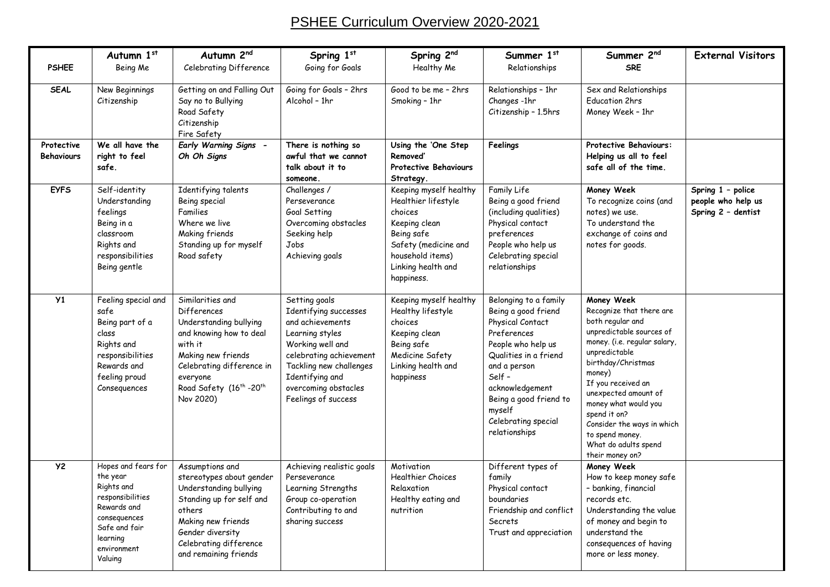## PSHEE Curriculum Overview 2020-2021

| <b>PSHEE</b>             | Autumn 1st<br>Being Me                                                                                                                                  | Autumn 2nd<br>Celebrating Difference                                                                                                                                                                                           | Spring 1st<br>Going for Goals                                                                                                                                                                                             | Spring 2nd<br>Healthy Me                                                                                                                                                | Summer 1st<br>Relationships                                                                                                                                                                                                                             | Summer 2nd<br><b>SRE</b>                                                                                                                                                                                                                                                                                                                                  | <b>External Visitors</b>                                      |
|--------------------------|---------------------------------------------------------------------------------------------------------------------------------------------------------|--------------------------------------------------------------------------------------------------------------------------------------------------------------------------------------------------------------------------------|---------------------------------------------------------------------------------------------------------------------------------------------------------------------------------------------------------------------------|-------------------------------------------------------------------------------------------------------------------------------------------------------------------------|---------------------------------------------------------------------------------------------------------------------------------------------------------------------------------------------------------------------------------------------------------|-----------------------------------------------------------------------------------------------------------------------------------------------------------------------------------------------------------------------------------------------------------------------------------------------------------------------------------------------------------|---------------------------------------------------------------|
| <b>SEAL</b>              | New Beginnings<br>Citizenship                                                                                                                           | Getting on and Falling Out<br>Say no to Bullying<br>Road Safety<br>Citizenship<br>Fire Safety                                                                                                                                  | Going for Goals - 2hrs<br>Alcohol - 1hr                                                                                                                                                                                   | Good to be me - 2hrs<br>Smoking - 1hr                                                                                                                                   | Relationships - 1hr<br>Changes -1hr<br>Citizenship - 1.5hrs                                                                                                                                                                                             | Sex and Relationships<br><b>Education 2hrs</b><br>Money Week - 1hr                                                                                                                                                                                                                                                                                        |                                                               |
| Protective<br>Behaviours | We all have the<br>right to feel<br>safe.                                                                                                               | <b>Early Warning Signs -</b><br>Oh Oh Signs                                                                                                                                                                                    | There is nothing so<br>awful that we cannot<br>talk about it to<br>someone.                                                                                                                                               | Using the 'One Step<br>Removed'<br><b>Protective Behaviours</b><br>Strategy.                                                                                            | Feelings                                                                                                                                                                                                                                                | <b>Protective Behaviours:</b><br>Helping us all to feel<br>safe all of the time.                                                                                                                                                                                                                                                                          |                                                               |
| <b>EYFS</b>              | Self-identity<br>Understanding<br>feelings<br>Being in a<br>classroom<br>Rights and<br>responsibilities<br>Being gentle                                 | Identifying talents<br>Being special<br>Families<br>Where we live<br>Making friends<br>Standing up for myself<br>Road safety                                                                                                   | Challenges /<br>Perseverance<br>Goal Setting<br>Overcoming obstacles<br>Seeking help<br>Jobs<br>Achieving goals                                                                                                           | Keeping myself healthy<br>Healthier lifestyle<br>choices<br>Keeping clean<br>Being safe<br>Safety (medicine and<br>household items)<br>Linking health and<br>happiness. | Family Life<br>Being a good friend<br>(including qualities)<br>Physical contact<br>preferences<br>People who help us<br>Celebrating special<br>relationships                                                                                            | Money Week<br>To recognize coins (and<br>notes) we use.<br>To understand the<br>exchange of coins and<br>notes for goods.                                                                                                                                                                                                                                 | Spring 1 - police<br>people who help us<br>Spring 2 - dentist |
| Y1                       | Feeling special and<br>safe<br>Being part of a<br>class<br>Rights and<br>responsibilities<br>Rewards and<br>feeling proud<br>Consequences               | Similarities and<br>Differences<br>Understanding bullying<br>and knowing how to deal<br>with it<br>Making new friends<br>Celebrating difference in<br>everyone<br>Road Safety (16 <sup>th</sup> -20 <sup>th</sup><br>Nov 2020) | Setting goals<br>Identifying successes<br>and achievements<br>Learning styles<br>Working well and<br>celebrating achievement<br>Tackling new challenges<br>Identifying and<br>overcoming obstacles<br>Feelings of success | Keeping myself healthy<br>Healthy lifestyle<br>choices<br>Keeping clean<br>Being safe<br>Medicine Safety<br>Linking health and<br>happiness                             | Belonging to a family<br>Being a good friend<br>Physical Contact<br>Preferences<br>People who help us<br>Qualities in a friend<br>and a person<br>Self -<br>acknowledgement<br>Being a good friend to<br>myself<br>Celebrating special<br>relationships | Money Week<br>Recognize that there are<br>both regular and<br>unpredictable sources of<br>money. (i.e. regular salary,<br>unpredictable<br>birthday/Christmas<br>money)<br>If you received an<br>unexpected amount of<br>money what would you<br>spend it on?<br>Consider the ways in which<br>to spend money.<br>What do adults spend<br>their money on? |                                                               |
| <b>Y2</b>                | Hopes and fears for<br>the year<br>Rights and<br>responsibilities<br>Rewards and<br>consequences<br>Safe and fair<br>learning<br>environment<br>Valuing | Assumptions and<br>stereotypes about gender<br>Understanding bullying<br>Standing up for self and<br>others<br>Making new friends<br>Gender diversity<br>Celebrating difference<br>and remaining friends                       | Achieving realistic goals<br>Perseverance<br>Learning Strengths<br>Group co-operation<br>Contributing to and<br>sharing success                                                                                           | Motivation<br><b>Healthier Choices</b><br>Relaxation<br>Healthy eating and<br>nutrition                                                                                 | Different types of<br>family<br>Physical contact<br>boundaries<br>Friendship and conflict<br>Secrets<br>Trust and appreciation                                                                                                                          | Money Week<br>How to keep money safe<br>- banking, financial<br>records etc.<br>Understanding the value<br>of money and begin to<br>understand the<br>consequences of having<br>more or less money.                                                                                                                                                       |                                                               |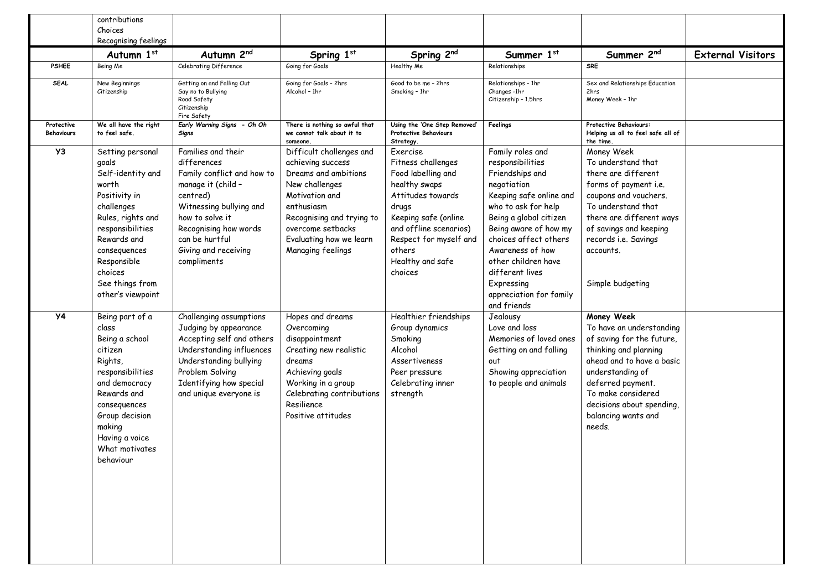|                                 | contributions<br>Choices<br>Recognising feelings                                                                                                                                                                                 |                                                                                                                                                                                                                                   |                                                                                                                                                                                                                           |                                                                                                                                                                                                                          |                                                                                                                                                                                                                                                                                                                            |                                                                                                                                                                                                                                                        |                          |
|---------------------------------|----------------------------------------------------------------------------------------------------------------------------------------------------------------------------------------------------------------------------------|-----------------------------------------------------------------------------------------------------------------------------------------------------------------------------------------------------------------------------------|---------------------------------------------------------------------------------------------------------------------------------------------------------------------------------------------------------------------------|--------------------------------------------------------------------------------------------------------------------------------------------------------------------------------------------------------------------------|----------------------------------------------------------------------------------------------------------------------------------------------------------------------------------------------------------------------------------------------------------------------------------------------------------------------------|--------------------------------------------------------------------------------------------------------------------------------------------------------------------------------------------------------------------------------------------------------|--------------------------|
|                                 | Autumn 1st                                                                                                                                                                                                                       | Autumn 2nd                                                                                                                                                                                                                        | Spring 1st                                                                                                                                                                                                                | Spring 2nd                                                                                                                                                                                                               | Summer 1st                                                                                                                                                                                                                                                                                                                 | Summer 2nd                                                                                                                                                                                                                                             | <b>External Visitors</b> |
| <b>PSHEE</b>                    | Being Me                                                                                                                                                                                                                         | Celebrating Difference                                                                                                                                                                                                            | Going for Goals                                                                                                                                                                                                           | Healthy Me                                                                                                                                                                                                               | Relationships                                                                                                                                                                                                                                                                                                              | <b>SRE</b>                                                                                                                                                                                                                                             |                          |
| <b>SEAL</b>                     | New Beginnings<br>Citizenship                                                                                                                                                                                                    | Getting on and Falling Out<br>Say no to Bullying<br>Road Safety<br>Citizenship<br>Fire Safety                                                                                                                                     | Going for Goals - 2hrs<br>Alcohol - 1hr                                                                                                                                                                                   | Good to be me - 2hrs<br>Smoking - 1hr                                                                                                                                                                                    | Relationships - 1hr<br>Changes-1hr<br>Citizenship - 1.5hrs                                                                                                                                                                                                                                                                 | Sex and Relationships Education<br>2hrs<br>Money Week - 1hr                                                                                                                                                                                            |                          |
| Protective<br><b>Behaviours</b> | We all have the right<br>to feel safe.                                                                                                                                                                                           | Early Warning Signs - Oh Oh<br>Signs                                                                                                                                                                                              | There is nothing so awful that<br>we cannot talk about it to<br>someone.                                                                                                                                                  | Using the 'One Step Removed'<br><b>Protective Behaviours</b><br>Strategy.                                                                                                                                                | Feelings                                                                                                                                                                                                                                                                                                                   | Protective Behaviours:<br>Helping us all to feel safe all of<br>the time.                                                                                                                                                                              |                          |
| Y3                              | Setting personal<br>goals<br>Self-identity and<br>worth<br>Positivity in<br>challenges<br>Rules, rights and<br>responsibilities<br>Rewards and<br>consequences<br>Responsible<br>choices<br>See things from<br>other's viewpoint | Families and their<br>differences<br>Family conflict and how to<br>manage it (child -<br>centred)<br>Witnessing bullying and<br>how to solve it<br>Recognising how words<br>can be hurtful<br>Giving and receiving<br>compliments | Difficult challenges and<br>achieving success<br>Dreams and ambitions<br>New challenges<br>Motivation and<br>enthusiasm<br>Recognising and trying to<br>overcome setbacks<br>Evaluating how we learn<br>Managing feelings | Fxercise<br>Fitness challenges<br>Food labelling and<br>healthy swaps<br>Attitudes towards<br>drugs<br>Keeping safe (online<br>and offline scenarios)<br>Respect for myself and<br>others<br>Healthy and safe<br>choices | Family roles and<br>responsibilities<br>Friendships and<br>negotiation<br>Keeping safe online and<br>who to ask for help<br>Being a global citizen<br>Being aware of how my<br>choices affect others<br>Awareness of how<br>other children have<br>different lives<br>Expressing<br>appreciation for family<br>and friends | Money Week<br>To understand that<br>there are different<br>forms of payment i.e.<br>coupons and vouchers.<br>To understand that<br>there are different ways<br>of savings and keeping<br>records i.e. Savings<br>accounts.<br>Simple budgeting         |                          |
| <b>Y4</b>                       | Being part of a<br>class<br>Being a school<br>citizen<br>Rights,<br>responsibilities<br>and democracy<br>Rewards and<br>consequences<br>Group decision<br>making<br>Having a voice<br>What motivates<br>behaviour                | Challenging assumptions<br>Judging by appearance<br>Accepting self and others<br>Understanding influences<br>Understanding bullying<br>Problem Solving<br>Identifying how special<br>and unique everyone is                       | Hopes and dreams<br>Overcoming<br>disappointment<br>Creating new realistic<br>dreams<br>Achieving goals<br>Working in a group<br>Celebrating contributions<br>Resilience<br>Positive attitudes                            | Healthier friendships<br>Group dynamics<br>Smoking<br>Alcohol<br>Assertiveness<br>Peer pressure<br>Celebrating inner<br>strength                                                                                         | Jealousy<br>Love and loss<br>Memories of loved ones<br>Getting on and falling<br>out<br>Showing appreciation<br>to people and animals                                                                                                                                                                                      | Money Week<br>To have an understanding<br>of saving for the future,<br>thinking and planning<br>ahead and to have a basic<br>understanding of<br>deferred payment.<br>To make considered<br>decisions about spending,<br>balancing wants and<br>needs. |                          |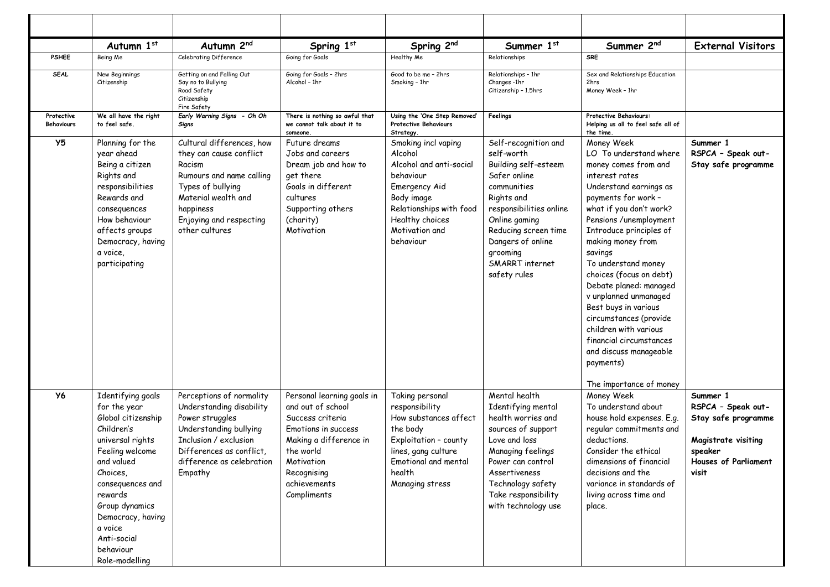|                                 | Autumn 1st                                                                                                                                                                                                                                                            | Autumn 2nd                                                                                                                                                                                       | Spring 1st                                                                                                                                                                                    | Spring 2nd                                                                                                                                                                         | Summer 1st                                                                                                                                                                                                                                      | Summer 2nd                                                                                                                                                                                                                                                                                                                                                                                                                                                                                        | <b>External Visitors</b>                                                                                                        |
|---------------------------------|-----------------------------------------------------------------------------------------------------------------------------------------------------------------------------------------------------------------------------------------------------------------------|--------------------------------------------------------------------------------------------------------------------------------------------------------------------------------------------------|-----------------------------------------------------------------------------------------------------------------------------------------------------------------------------------------------|------------------------------------------------------------------------------------------------------------------------------------------------------------------------------------|-------------------------------------------------------------------------------------------------------------------------------------------------------------------------------------------------------------------------------------------------|---------------------------------------------------------------------------------------------------------------------------------------------------------------------------------------------------------------------------------------------------------------------------------------------------------------------------------------------------------------------------------------------------------------------------------------------------------------------------------------------------|---------------------------------------------------------------------------------------------------------------------------------|
| <b>PSHEE</b>                    | Being Me                                                                                                                                                                                                                                                              | Celebrating Difference                                                                                                                                                                           | Going for Goals                                                                                                                                                                               | Healthy Me                                                                                                                                                                         | Relationships                                                                                                                                                                                                                                   | <b>SRE</b>                                                                                                                                                                                                                                                                                                                                                                                                                                                                                        |                                                                                                                                 |
| <b>SEAL</b>                     | New Beginnings<br>Citizenship                                                                                                                                                                                                                                         | Getting on and Falling Out<br>Say no to Bullying<br>Road Safety<br>Citizenship<br>Fire Safety                                                                                                    | Going for Goals - 2hrs<br>Alcohol - 1hr                                                                                                                                                       | Good to be me - 2hrs<br>Smoking - 1hr                                                                                                                                              | Relationships - 1hr<br>Changes-1hr<br>Citizenship - 1.5hrs                                                                                                                                                                                      | Sex and Relationships Education<br>2hrs<br>Money Week - 1hr                                                                                                                                                                                                                                                                                                                                                                                                                                       |                                                                                                                                 |
| Protective<br><b>Behaviours</b> | We all have the right<br>to feel safe.                                                                                                                                                                                                                                | Early Warning Signs - Oh Oh<br>Signs                                                                                                                                                             | There is nothing so awful that<br>we cannot talk about it to<br>someone.                                                                                                                      | Using the 'One Step Removed'<br><b>Protective Behaviours</b><br>Strategy.                                                                                                          | Feelings                                                                                                                                                                                                                                        | Protective Behaviours:<br>Helping us all to feel safe all of<br>the time.                                                                                                                                                                                                                                                                                                                                                                                                                         |                                                                                                                                 |
| Y <sub>5</sub>                  | Planning for the<br>year ahead<br>Being a citizen<br>Rights and<br>responsibilities<br>Rewards and<br>consequences<br>How behaviour<br>affects groups<br>Democracy, having<br>a voice,<br>participating                                                               | Cultural differences, how<br>they can cause conflict<br>Racism<br>Rumours and name calling<br>Types of bullying<br>Material wealth and<br>happiness<br>Enjoying and respecting<br>other cultures | Future dreams<br>Jobs and careers<br>Dream job and how to<br>get there<br>Goals in different<br>cultures<br>Supporting others<br>(charity)<br>Motivation                                      | Smoking incl vaping<br>Alcohol<br>Alcohol and anti-social<br>behaviour<br>Emergency Aid<br>Body image<br>Relationships with food<br>Healthy choices<br>Motivation and<br>behaviour | Self-recognition and<br>self-worth<br>Building self-esteem<br>Safer online<br>communities<br>Rights and<br>responsibilities online<br>Online gaming<br>Reducing screen time<br>Dangers of online<br>grooming<br>SMARRT internet<br>safety rules | Money Week<br>LO To understand where<br>money comes from and<br>interest rates<br>Understand earnings as<br>payments for work -<br>what if you don't work?<br>Pensions /unemployment<br>Introduce principles of<br>making money from<br>savings<br>To understand money<br>choices (focus on debt)<br>Debate planed: managed<br>v unplanned unmanaged<br>Best buys in various<br>circumstances (provide<br>children with various<br>financial circumstances<br>and discuss manageable<br>payments) | Summer 1<br>RSPCA - Speak out-<br>Stay safe programme                                                                           |
| <b>Y6</b>                       | Identifying goals<br>for the year<br>Global citizenship<br>Children's<br>universal rights<br>Feeling welcome<br>and valued<br>Choices,<br>consequences and<br>rewards<br>Group dynamics<br>Democracy, having<br>a voice<br>Anti-social<br>behaviour<br>Role-modelling | Perceptions of normality<br>Understanding disability<br>Power struggles<br>Understanding bullying<br>Inclusion / exclusion<br>Differences as conflict.<br>difference as celebration<br>Empathy   | Personal learning goals in<br>and out of school<br>Success criteria<br>Emotions in success<br>Making a difference in<br>the world<br>Motivation<br>Recognising<br>achievements<br>Compliments | Taking personal<br>responsibility<br>How substances affect<br>the body<br>Exploitation - county<br>lines, gang culture<br>Emotional and mental<br>health<br>Managing stress        | Mental health<br>Identifying mental<br>health worries and<br>sources of support<br>Love and loss<br>Managing feelings<br>Power can control<br>Assertiveness<br>Technology safety<br>Take responsibility<br>with technology use                  | The importance of money<br>Money Week<br>To understand about<br>house hold expenses. E.g.<br>regular commitments and<br>deductions.<br>Consider the ethical<br>dimensions of financial<br>decisions and the<br>variance in standards of<br>living across time and<br>place.                                                                                                                                                                                                                       | Summer 1<br>RSPCA - Speak out-<br>Stay safe programme<br>Magistrate visiting<br>speaker<br><b>Houses of Parliament</b><br>visit |